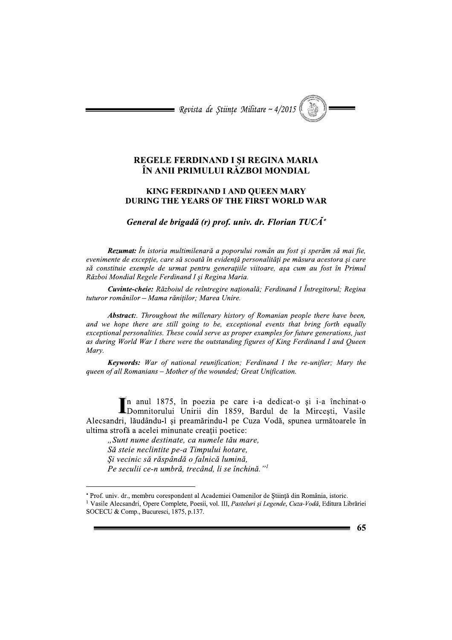Revista de Științe Militare ~ 4/2015

## REGELE FERDINAND I ȘI REGINA MARIA ÎN ANII PRIMULUI RĂZBOI MONDIAL

## **KING FERDINAND I AND OUEEN MARY DURING THE YEARS OF THE FIRST WORLD WAR**

General de brigadă (r) prof. univ. dr. Florian  $TUCA^*$ 

Rezumat: În istoria multimilenară a poporului român au fost și sperăm să mai fie, evenimente de excepție, care să scoată în evidență personalități pe măsura acestora și care să constituie exemple de urmat pentru generațiile viitoare, așa cum au fost în Primul Război Mondial Regele Ferdinand I și Regina Maria.

Cuvinte-cheie: Războiul de reîntregire națională; Ferdinand I Întregitorul; Regina tuturor românilor - Mama răniților; Marea Unire.

**Abstract:** Throughout the millenary history of Romanian people there have been, and we hope there are still going to be, exceptional events that bring forth equally exceptional personalities. These could serve as proper examples for future generations, just as during World War I there were the outstanding figures of King Ferdinand I and Queen Marv.

**Keywords:** War of national reunification: Ferdinand I the re-unifier: Mary the queen of all Romanians - Mother of the wounded; Great Unification.

în anul 1875, în poezia pe care i-a dedicat-o și i-a închinat-o In anul 1875, in poezia pe care i a concerne ;<br>Domnitorului Unirii din 1859, Bardul de la Mircești, Vasile Alecsandri, lăudându-l și preamărindu-l pe Cuza Vodă, spunea următoarele în ultima strofă a acelei minunate creații poetice:

"Sunt nume destinate, ca numele tău mare, Să steie neclintite pe-a Timpului hotare, Și vecinic să răspândă o falnică lumină, Pe seculii ce-n umbră, trecând, li se închină."<sup>1</sup>

65

<sup>\*</sup> Prof. univ. dr., membru corespondent al Academiei Oamenilor de Știință din România, istoric.

<sup>&</sup>lt;sup>1</sup> Vasile Alecsandri, Opere Complete, Poesii, vol. III, Pasteluri și Legende, Cuza-Vodă, Editura Librăriei SOCECU & Comp., Bucuresci, 1875, p.137.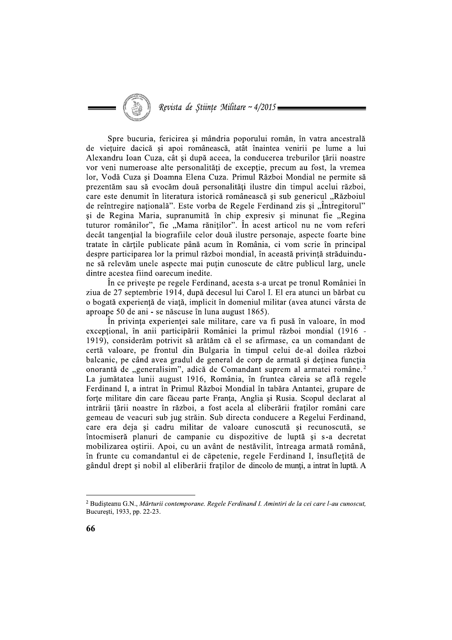Spre bucuria, fericirea și mândria poporului român, în vatra ancestrală de viețuire dacică și apoi românească, atât înaintea venirii pe lume a lui Alexandru Ioan Cuza, cât și după aceea, la conducerea treburilor țării noastre vor veni numeroase alte personalități de excepție, precum au fost, la vremea lor, Vodă Cuza și Doamna Elena Cuza. Primul Război Mondial ne permite să prezentăm sau să evocăm două personalități ilustre din timpul acelui război, care este denumit în literatura istorică românească și sub genericul "Războiul de reîntregire națională". Este vorba de Regele Ferdinand zis și "Întregitorul" și de Regina Maria, supranumită în chip expresiv și minunat fie "Regina tuturor românilor", fie "Mama răniților". În acest articol nu ne vom referi decât tangential la biografiile celor două ilustre personaje, aspecte foarte bine tratate în cărțile publicate până acum în România, ci vom scrie în principal despre participarea lor la primul război mondial, în această privință străduindune să relevăm unele aspecte mai puțin cunoscute de către publicul larg, unele dintre acestea fiind oarecum inedite.

În ce privește pe regele Ferdinand, acesta s-a urcat pe tronul României în ziua de 27 septembrie 1914, după decesul lui Carol I. El era atunci un bărbat cu o bogată experiență de viață, implicit în domeniul militar (avea atunci vârsta de aproape 50 de ani - se născuse în luna august 1865).

În privința experienței sale militare, care va fi pusă în valoare, în mod exceptional, în anii participării României la primul război mondial (1916 -1919), considerăm potrivit să arătăm că el se afirmase, ca un comandant de certă valoare, pe frontul din Bulgaria în timpul celui de-al doilea război balcanic, pe când avea gradul de general de corp de armată și deținea funcția onorantă de "generalisim", adică de Comandant suprem al armatei române.<sup>2</sup> La jumătatea lunii august 1916, România, în fruntea căreia se află regele Ferdinand I, a intrat în Primul Război Mondial în tabăra Antantei, grupare de forte militare din care făceau parte Franța, Anglia și Rusia. Scopul declarat al intrării țării noastre în război, a fost acela al eliberării fraților români care gemeau de veacuri sub jug străin. Sub directa conducere a Regelui Ferdinand, care era deja și cadru militar de valoare cunoscută și recunoscută, se întocmiseră planuri de campanie cu dispozitive de luptă și s-a decretat mobilizarea ostirii. Apoi, cu un avânt de nestăvilit, întreaga armată română, în frunte cu comandantul ei de căpetenie, regele Ferdinand I, însufletită de gândul drept și nobil al eliberării fraților de dincolo de munți, a intrat în luptă. A

<sup>&</sup>lt;sup>2</sup> Budisteanu G.N., Mărturii contemporane. Regele Ferdinand I. Amintiri de la cei care l-au cunoscut, București, 1933, pp. 22-23.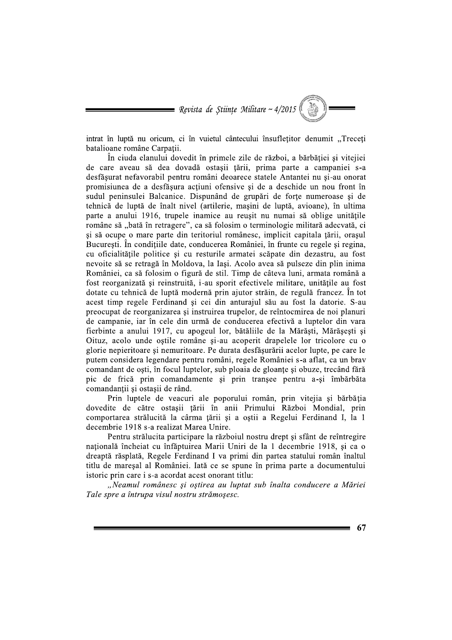= Revista de Științe Militare ~  $4/2015$ 

intrat în luptă nu oricum, ci în vuietul cântecului însufletitor denumit "Treceti batalioane române Carpații.

În ciuda elanului dovedit în primele zile de război, a bărbăției și vitejiei de care aveau să dea dovadă ostașii țării, prima parte a campaniei s-a desfășurat nefavorabil pentru români deoarece statele Antantei nu și-au onorat promisiunea de a desfășura acțiuni ofensive și de a deschide un nou front în sudul peninsulei Balcanice. Dispunând de grupări de forte numeroase si de tehnică de luptă de înalt nivel (artilerie, mașini de luptă, avioane), în ultima parte a anului 1916, trupele inamice au reusit nu numai să oblige unitățile române să "bată în retragere", ca să folosim o terminologie militară adecvată, ci si să ocupe o mare parte din teritoriul românesc, implicit capitala țării, orașul București. În condițiile date, conducerea României, în frunte cu regele și regina, cu oficialitățile politice și cu resturile armatei scăpate din dezastru, au fost nevoite să se retragă în Moldova, la Iasi. Acolo avea să pulseze din plin inima României, ca să folosim o figură de stil. Timp de câteva luni, armata română a fost reorganizată și reinstruită, i-au sporit efectivele militare, unitățile au fost dotate cu tehnică de luptă modernă prin ajutor străin, de regulă francez. În tot acest timp regele Ferdinand și cei din anturajul său au fost la datorie. S-au preocupat de reorganizarea și instruirea trupelor, de reîntocmirea de noi planuri de campanie, iar în cele din urmă de conducerea efectivă a luptelor din vara fierbinte a anului 1917, cu apogeul lor, bătăliile de la Mărăști, Mărășești și Oituz, acolo unde ostile române și-au acoperit drapelele lor tricolore cu o glorie nepieritoare și nemuritoare. Pe durata desfășurării acelor lupte, pe care le putem considera legendare pentru români, regele României s-a aflat, ca un brav comandant de oști, în focul luptelor, sub ploaia de gloanțe și obuze, trecând fără pic de frică prin comandamente și prin tranșee pentru a-și îmbărbăta comandantii si ostasii de rând.

Prin luptele de veacuri ale poporului român, prin vitejia și bărbăția dovedite de către ostașii țării în anii Primului Război Mondial, prin comportarea strălucită la cârma țării și a oștii a Regelui Ferdinand I, la 1 decembrie 1918 s-a realizat Marea Unire.

Pentru strălucita participare la războiul nostru drept și sfânt de reîntregire națională încheiat cu înfăptuirea Marii Uniri de la 1 decembrie 1918, și ca o dreaptă răsplată, Regele Ferdinand I va primi din partea statului român înaltul titlu de maresal al României. Iată ce se spune în prima parte a documentului istoric prin care i s-a acordat acest onorant titlu:

"Neamul românesc și oștirea au luptat sub înalta conducere a Măriei Tale spre a întrupa visul nostru strămoșesc.

67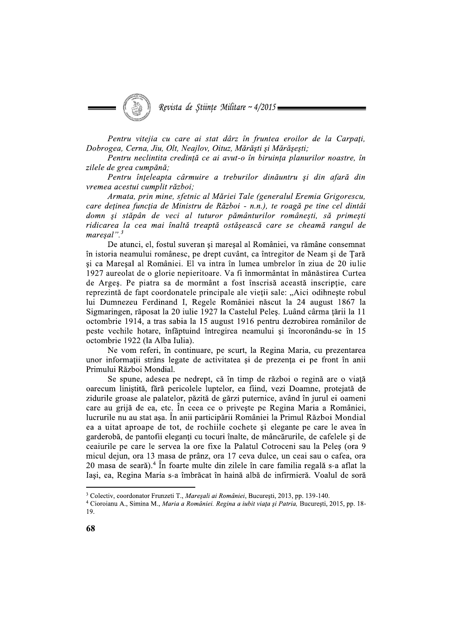Revista de Stiințe Militare ~ 4/2015

Pentru vitejia cu care ai stat dârz în fruntea eroilor de la Carpați, Dobrogea, Cerna, Jiu, Olt, Neajlov, Oituz, Mărăști și Mărășești;

Pentru neclintita credință ce ai avut-o în biruința planurilor noastre, în zilele de grea cumpănă;

Pentru înțeleapta cârmuire a treburilor dinăuntru și din afară din vremea acestui cumplit război;

Armata, prin mine, sfetnic al Măriei Tale (generalul Eremia Grigorescu, care deținea funcția de Ministru de Război - n.n.), te roagă pe tine cel dintâi domn si stăpân de veci al tuturor pământurilor românesti, să primesti ridicarea la cea mai înaltă treaptă ostășească care se cheamă rangul de  $maresal$ ". $3$ 

De atunci, el, fostul suveran și mareșal al României, va rămâne consemnat în istoria neamului românesc, pe drept cuvânt, ca întregitor de Neam și de Țară si ca Maresal al României. El va intra în lumea umbrelor în ziua de 20 iulie 1927 aureolat de o glorie nepieritoare. Va fi înmormântat în mănăstirea Curtea de Argeș. Pe piatra sa de mormânt a fost înscrisă această inscripție, care reprezintă de fapt coordonatele principale ale vieții sale: "Aici odihnește robul lui Dumnezeu Ferdinand I, Regele României născut la 24 august 1867 la Sigmaringen, răposat la 20 iulie 1927 la Castelul Peleș. Luând cârma țării la 11 octombrie 1914, a tras sabia la 15 august 1916 pentru dezrobirea românilor de peste vechile hotare, înfăptuind întregirea neamului și încoronându-se în 15 octombrie 1922 (la Alba Iulia).

Ne vom referi, în continuare, pe scurt, la Regina Maria, cu prezentarea unor informații strâns legate de activitatea și de prezența ei pe front în anii Primului Război Mondial.

Se spune, adesea pe nedrept, că în timp de război o regină are o viață oarecum liniștită, fără pericolele luptelor, ea fiind, vezi Doamne, protejată de zidurile groase ale palatelor, păzită de gărzi puternice, având în jurul ei oameni care au grijă de ea, etc. În ceea ce o privește pe Regina Maria a României, lucrurile nu au stat așa. În anii participării României la Primul Război Mondial ea a uitat aproape de tot, de rochille cochete și elegante pe care le avea în garderobă, de pantofii eleganți cu tocuri înalte, de mâncărurile, de cafelele și de ceaiurile pe care le servea la ore fixe la Palatul Cotroceni sau la Peles (ora 9 micul dejun, ora 13 masa de prânz, ora 17 ceva dulce, un ceai sau o cafea, ora 20 masa de seară).<sup>4</sup> În foarte multe din zilele în care familia regală s-a aflat la Iași, ea, Regina Maria s-a îmbrăcat în haină albă de infirmieră. Voalul de soră

<sup>&</sup>lt;sup>3</sup> Colectiv, coordonator Frunzeti T., Maresali ai României, București, 2013, pp. 139-140.

<sup>4</sup> Cioroianu A., Simina M., Maria a României. Regina a iubit viața și Patria, București, 2015, pp. 18-19.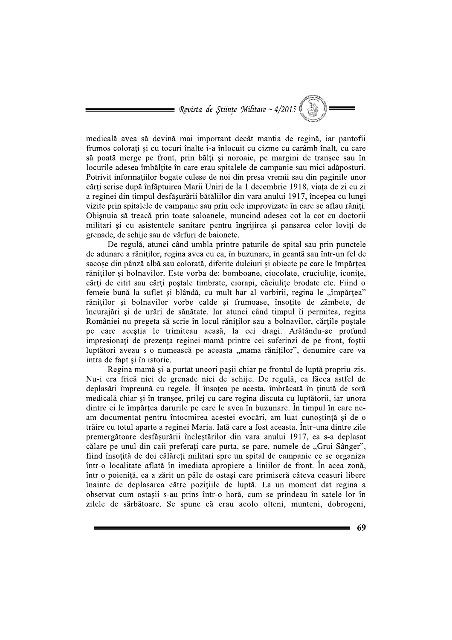$\blacksquare$  Revista de Științe Militare ~ 4/2015

medicală avea să devină mai important decât mantia de regină, iar pantofii frumos colorați și cu tocuri înalte i-a înlocuit cu cizme cu carâmb înalt, cu care să poată merge pe front, prin bălți și noroaie, pe margini de tranșee sau în locurile adesea îmbălțite în care erau spitalele de campanie sau mici adăposturi. Potrivit informatiilor bogate culese de noi din presa vremii sau din paginile unor cărți scrise după înfăptuirea Marii Uniri de la 1 decembrie 1918, viața de zi cu zi a reginei din timpul desfăsurării bătăliilor din vara anului 1917, începea cu lungi vizite prin spitalele de campanie sau prin cele improvizate în care se aflau răniți. Obisnuia să treacă prin toate saloanele, muncind adesea cot la cot cu doctorii militari si cu asistentele sanitare pentru îngrijirea și pansarea celor loviți de grenade, de schije sau de vârfuri de baionete.

De regulă, atunci când umbla printre paturile de spital sau prin punctele de adunare a răniților, regina avea cu ea, în buzunare, în geantă sau într-un fel de sacose din pânză albă sau colorată, diferite dulciuri și obiecte pe care le împărtea rănitilor și bolnavilor. Este vorba de: bomboane, ciocolate, cruciulite, iconite, cărți de citit sau cărți poștale timbrate, ciorapi, căciulițe brodate etc. Fiind o femeie bună la suflet și blândă, cu mult har al vorbirii, regina le "împărtea" răniților și bolnavilor vorbe calde și frumoase, însoțite de zâmbete, de încurajări și de urări de sănătate. Iar atunci când timpul îi permitea, regina României nu pregeta să scrie în locul răniților sau a bolnavilor, cărțile poștale pe care acestia le trimiteau acasă, la cei dragi. Arătându-se profund impresionați de prezența reginei-mamă printre cei suferinzi de pe front, foștii luptători aveau s-o numească pe aceasta "mama răniților", denumire care va intra de fapt și în istorie.

Regina mamă și-a purtat uneori pașii chiar pe frontul de luptă propriu-zis. Nu-i era frică nici de grenade nici de schije. De regulă, ea făcea astfel de deplasări împreună cu regele. Îl însoțea pe acesta, îmbrăcată în ținută de soră medicală chiar și în tranșee, prilej cu care regina discuta cu luptătorii, iar unora dintre ei le împărțea darurile pe care le avea în buzunare. În timpul în care neam documentat pentru întocmirea acestei evocări, am luat cunoștință și de o trăire cu totul aparte a reginei Maria. Iată care a fost aceasta. Într-una dintre zile premergătoare desfășurării încleștărilor din vara anului 1917, ea s-a deplasat călare pe unul din caii preferați care purta, se pare, numele de "Grui-Sânger", fiind însoțită de doi călăreți militari spre un spital de campanie ce se organiza într-o localitate aflată în imediata apropiere a liniilor de front. În acea zonă, într-o poieniță, ea a zărit un pâlc de ostași care primiseră câteva ceasuri libere înainte de deplasarea către pozițiile de luptă. La un moment dat regina a observat cum ostașii s-au prins într-o horă, cum se prindeau în satele lor în zilele de sărbătoare. Se spune că erau acolo olteni, munteni, dobrogeni,